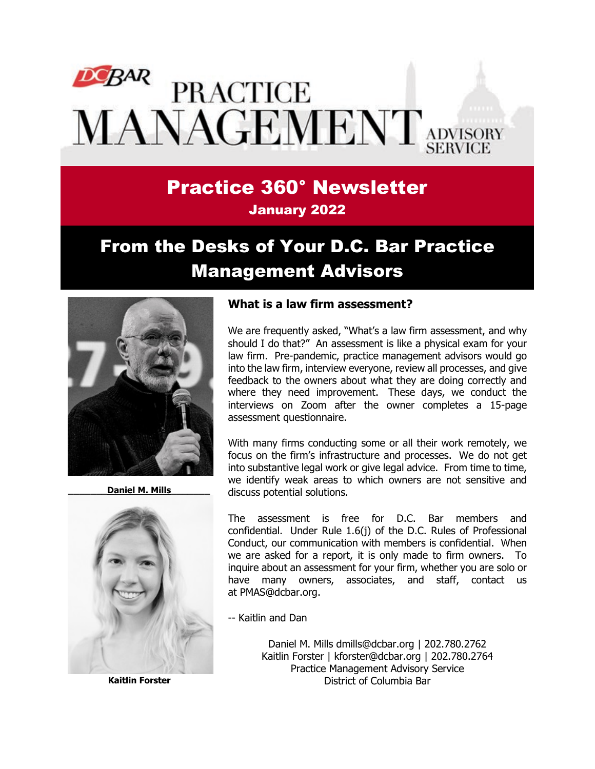# DCBAR **PRACTICE** MANAGEMENT ADVISORY

## Practice 360° Newsletter January 2022

# From the Desks of Your D.C. Bar Practice Management Advisors



Daniel M. Mills



**Kaitlin Forster**

#### **What is a law firm assessment?**

We are frequently asked, "What's a law firm assessment, and why should I do that?" An assessment is like a physical exam for your law firm. Pre-pandemic, practice management advisors would go into the law firm, interview everyone, review all processes, and give feedback to the owners about what they are doing correctly and where they need improvement. These days, we conduct the interviews on Zoom after the owner completes a 15-page assessment questionnaire.

With many firms conducting some or all their work remotely, we focus on the firm's infrastructure and processes. We do not get into substantive legal work or give legal advice. From time to time, we identify weak areas to which owners are not sensitive and discuss potential solutions.

The assessment is free for D.C. Bar members and confidential. Under Rule 1.6(j) of the D.C. Rules of Professional Conduct, our communication with members is confidential. When we are asked for a report, it is only made to firm owners. To inquire about an assessment for your firm, whether you are solo or have many owners, associates, and staff, contact us at [PMAS@dcbar.org.](mailto:PMAS@dcbar.org)

-- Kaitlin and Dan

Daniel M. Mills [dmills@dcbar.org](mailto:dmills@dcbar.org) | 202.780.2762 Kaitlin Forster | [kforster@dcbar.org](mailto:kforster@dcbar.org) | 202.780.2764 Practice Management Advisory Service District of Columbia Bar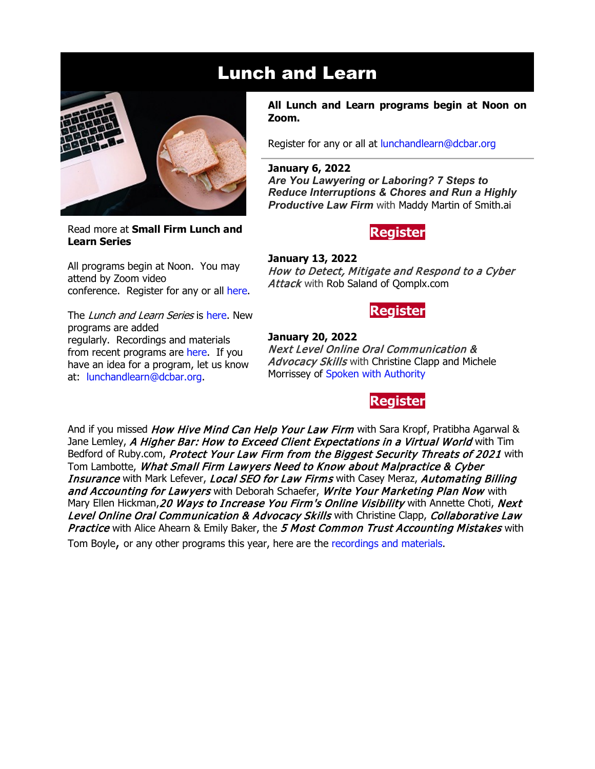

Read more at **[Small Firm Lunch](https://www.dcbar.org/for-lawyers/practice-management-advisory-service/courses-and-trainings/small-firm-lunch-and-learn-series?utm_source=Real%20Magnet&utm_medium=INSERT_CHANNEL&utm_campaign=INSERT_LINK_ID) and [Learn Series](https://www.dcbar.org/for-lawyers/practice-management-advisory-service/courses-and-trainings/small-firm-lunch-and-learn-series?utm_source=Real%20Magnet&utm_medium=INSERT_CHANNEL&utm_campaign=INSERT_LINK_ID)**

All programs begin at Noon. You may attend by Zoom video conference. Register for any or all [here.](https://www.dcbar.org/for-lawyers/practice-management-advisory-service/courses-and-trainings/small-firm-lunch-and-learn-series?utm_source=Real%20Magnet&utm_medium=INSERT_CHANNEL&utm_campaign=INSERT_LINK_ID)

The *Lunch and Learn Series* is [here.](https://www.dcbar.org/for-lawyers/practice-management-advisory-service/courses-and-trainings/small-firm-lunch-and-learn-series?utm_source=Real%20Magnet&utm_medium=INSERT_CHANNEL&utm_campaign=INSERT_LINK_ID) New programs are added regularly. Recordings and materials from recent programs are [here.](https://www.dcbar.org/for-lawyers/practice-management-advisory-service/courses-and-trainings/small-firm-lunch-and-learn-series/past-lunch-and-learn-programs?utm_source=Real%20Magnet&utm_medium=INSERT_CHANNEL&utm_campaign=INSERT_LINK_ID) If you have an idea for a program, let us know at: [lunchandlearn@dcbar.org.](mailto:lunchandlearn@dcbar.org)

#### **All Lunch and Learn programs begin at Noon on Zoom.**

Register for any or all at [lunchandlearn@dcbar.org](mailto:lunchandlearn@dcbar.org?subject=Lunch%20and%20Learn)

**January 6, 2022** *Are You Lawyering or Laboring? 7 Steps to Reduce Interruptions & Chores and Run a Highly* 

*Productive Law Firm* with Maddy Martin of [Smith.ai](https://smith.ai/author/maddy-martin)

## **[Register](https://dcbar.inreachce.com/Details/Information/6a446570-ac2a-4ffa-a885-3d07e2e02b35)**

**January 13, 2022** How to Detect, Mitigate and Respond to a Cyber Attack with Rob Saland of [Qomplx.com](https://www.linkedin.com/in/rob-saland/)

**[Register](https://dcbar.inreachce.com/Details/Information/08283f91-de5e-41ae-ba9b-f18ee0051f64)**

**January 20, 2022** Next Level Online Oral Communication & Advocacy Skills with Christine Clapp and Michele Morrissey of [Spoken with Authority](https://spokenwithauthority.com/)

## **[Register](https://dcbar.inreachce.com/Details/Information/3e7df57e-d639-48e2-b1eb-272a7eea4b02)**

And if you missed *How Hive Mind Can Help Your Law Firm* with Sara Kropf, Pratibha Agarwal & Jane Lemley, A Higher Bar: How to Exceed Client Expectations in a Virtual World with Tim Bedford of Ruby.com, Protect Your Law Firm from the Biggest Security Threats of 2021 with Tom Lambotte, What Small Firm Lawyers Need to Know about Malpractice & Cyber Insurance with Mark Lefever, Local SEO for Law Firms with Casey Meraz, Automating Billing and Accounting for Lawyers with Deborah Schaefer, Write Your Marketing Plan Now with Mary Ellen Hickman, 20 Ways to Increase You Firm's Online Visibility with Annette Choti, Next Level Online Oral Communication & Advocacy Skills with Christine Clapp, Collaborative Law Practice with Alice Ahearn & Emily Baker, the 5 Most Common Trust Accounting Mistakes with

Tom Boyle, or any other programs this year, here are the [recordings and materials.](https://www.dcbar.org/for-lawyers/practice-management-advisory-service/courses-and-trainings/small-firm-lunch-and-learn-series/past-lunch-and-learn-programs?utm_source=Real%20Magnet&utm_medium=INSERT_CHANNEL&utm_campaign=INSERT_LINK_ID)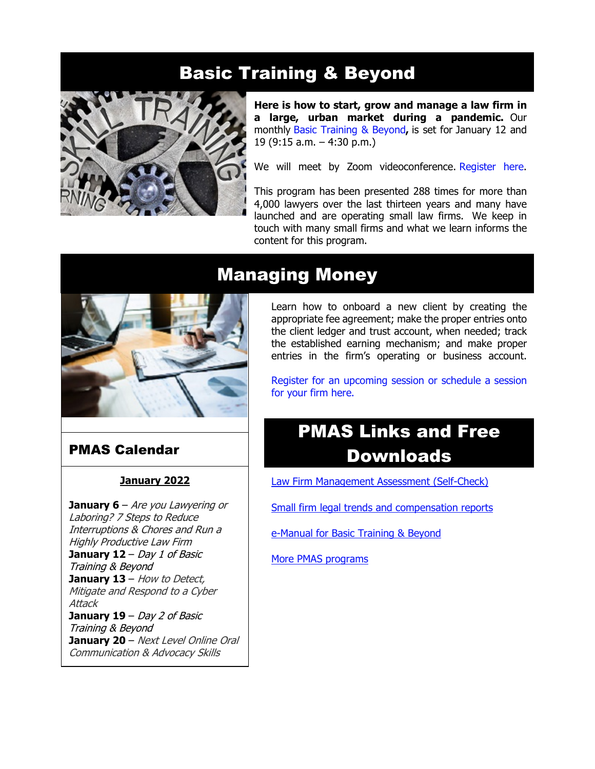# Basic Training & Beyond



**Here is how to start, grow and manage a law firm in a large, urban market during a pandemic.** Our monthly [Basic Training & Beyond](http://www.mmsend31.com/link.cfm?r=zvkjaWqFFUTRz65Avl-Ftw%7E%7E&pe=c3ph7NU-Re1l6uj-xoZC_Nqnf2HGTrpIRRfl_qZmlgZN_I06rShTZ-AlGs0Wp7CGgKUozsdU2izsioLhmXaRbg%7E%7E&t=prXb-jowJMuBRf73r4YKRA%7E%7E)**,** is set for January 12 and 19 (9:15 a.m. – 4:30 p.m.)

We will meet by Zoom videoconference. [Register here.](http://www.mmsend31.com/link.cfm?r=zvkjaWqFFUTRz65Avl-Ftw%7E%7E&pe=BxjSlIjTK_3i3Os02s37pODjnSEaSaIBfLm0UarKy-K07-G29KY0F7SoVNdKQgSYIVrXVvuyFBcMiPY5X35JOA%7E%7E&t=prXb-jowJMuBRf73r4YKRA%7E%7E)

This program has been presented 288 times for more than 4,000 lawyers over the last thirteen years and many have launched and are operating small law firms. We keep in touch with many small firms and what we learn informs the content for this program.



## PMAS Calendar

### **January 2022**

**January 6** – Are you Lawyering or Laboring? 7 Steps to Reduce Interruptions & Chores and Run a Highly Productive Law Firm **January 12** – Day 1 of Basic Training & Beyond **January 13** – How to Detect, Mitigate and Respond to <sup>a</sup> Cyber **Attack January 19** – Day 2 of Basic Training & Beyond **January 20** – Next Level Online Oral Communication & Advocacy Skills

## Managing Money

Learn how to onboard a new client by creating the appropriate fee agreement; make the proper entries onto the client ledger and trust account, when needed; track the established earning mechanism; and make proper entries in the firm's operating or business account.

[Register for an upcoming session or schedule a session](https://www.dcbar.org/for-lawyers/practice-management-advisory-service/courses-and-trainings/managing-money?utm_source=Real%20Magnet&utm_medium=INSERT_CHANNEL&utm_campaign=INSERT_LINK_ID)  [for your firm here.](https://www.dcbar.org/for-lawyers/practice-management-advisory-service/courses-and-trainings/managing-money?utm_source=Real%20Magnet&utm_medium=INSERT_CHANNEL&utm_campaign=INSERT_LINK_ID) 

# PMAS Links and Free **Downloads**

Law [Firm Management Assessment \(Self-Check\)](https://www.dcbar.org/for-lawyers/practice-management-advisory-service/practice-tips-and-compliance/self-check?utm_source=Real%20Magnet&utm_medium=INSERT_CHANNEL&utm_campaign=INSERT_LINK_ID)

[Small firm legal trends and compensation reports](https://www.dcbar.org/for-lawyers/practice-management-advisory-service/courses-and-trainings/basic-training-beyond/basic-training-beyond-supplements?utm_source=Real%20Magnet&utm_medium=INSERT_CHANNEL&utm_campaign=INSERT_LINK_ID)

[e-Manual for Basic Training & Beyond](https://documentcloud.adobe.com/link/review?uri=urn:aaid:scds:US:2182dc5f-4a8c-435d-bb76-280eddc57a6d)

[More PMAS programs](https://www.dcbar.org/for-lawyers/practice-management-advisory-service/courses-and-trainings?utm_source=Real%20Magnet&utm_medium=INSERT_CHANNEL&utm_campaign=INSERT_LINK_ID)